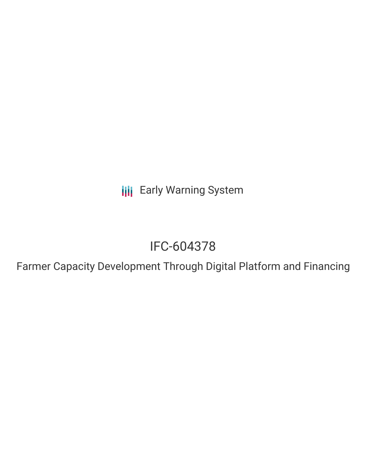**III** Early Warning System

# IFC-604378

Farmer Capacity Development Through Digital Platform and Financing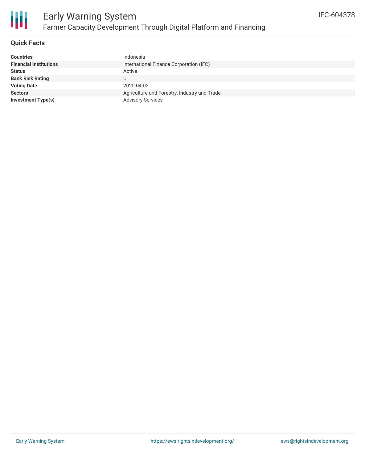

### **Quick Facts**

| <b>Countries</b>              | Indonesia                                    |
|-------------------------------|----------------------------------------------|
| <b>Financial Institutions</b> | International Finance Corporation (IFC)      |
| <b>Status</b>                 | Active                                       |
| <b>Bank Risk Rating</b>       | U                                            |
| <b>Voting Date</b>            | 2020-04-02                                   |
| <b>Sectors</b>                | Agriculture and Forestry, Industry and Trade |
| <b>Investment Type(s)</b>     | <b>Advisory Services</b>                     |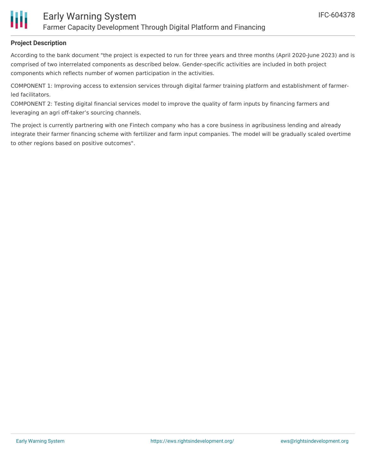

# **Project Description**

According to the bank document "the project is expected to run for three years and three months (April 2020-June 2023) and is comprised of two interrelated components as described below. Gender-specific activities are included in both project components which reflects number of women participation in the activities.

COMPONENT 1: Improving access to extension services through digital farmer training platform and establishment of farmerled facilitators.

COMPONENT 2: Testing digital financial services model to improve the quality of farm inputs by financing farmers and leveraging an agri off-taker's sourcing channels.

The project is currently partnering with one Fintech company who has a core business in agribusiness lending and already integrate their farmer financing scheme with fertilizer and farm input companies. The model will be gradually scaled overtime to other regions based on positive outcomes".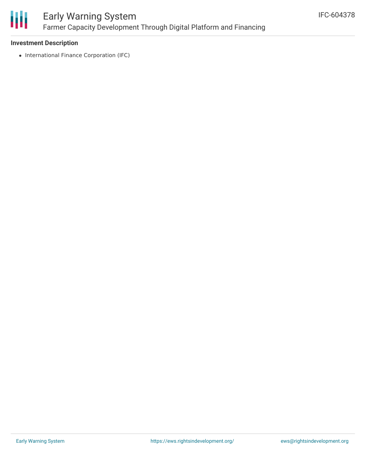

# Early Warning System Farmer Capacity Development Through Digital Platform and Financing

#### **Investment Description**

• International Finance Corporation (IFC)